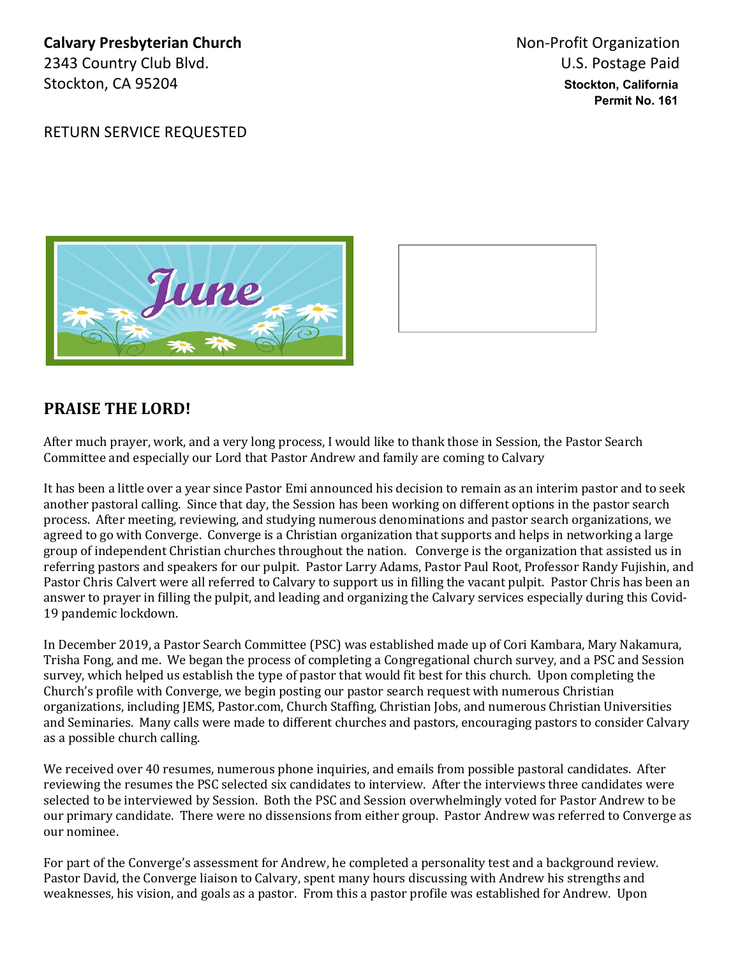**Calvary Presbyterian Church Non-Profit Organization Calvary Presbyterian Church** 2343 Country Club Blvd. U.S. Postage Paid Stockton, CA 95204 **Stockton, California**

 **Permit No. 161**

RETURN SERVICE REQUESTED





## **PRAISE THE LORD!**

After much prayer, work, and a very long process, I would like to thank those in Session, the Pastor Search Committee and especially our Lord that Pastor Andrew and family are coming to Calvary

It has been a little over a year since Pastor Emi announced his decision to remain as an interim pastor and to seek another pastoral calling. Since that day, the Session has been working on different options in the pastor search process. After meeting, reviewing, and studying numerous denominations and pastor search organizations, we agreed to go with Converge. Converge is a Christian organization that supports and helps in networking a large group of independent Christian churches throughout the nation. Converge is the organization that assisted us in referring pastors and speakers for our pulpit. Pastor Larry Adams, Pastor Paul Root, Professor Randy Fujishin, and Pastor Chris Calvert were all referred to Calvary to support us in filling the vacant pulpit. Pastor Chris has been an answer to prayer in filling the pulpit, and leading and organizing the Calvary services especially during this Covid-19 pandemic lockdown.

In December 2019, a Pastor Search Committee (PSC) was established made up of Cori Kambara, Mary Nakamura, Trisha Fong, and me. We began the process of completing a Congregational church survey, and a PSC and Session survey, which helped us establish the type of pastor that would fit best for this church. Upon completing the Church's profile with Converge, we begin posting our pastor search request with numerous Christian organizations, including JEMS, Pastor.com, Church Staffing, Christian Jobs, and numerous Christian Universities and Seminaries. Many calls were made to different churches and pastors, encouraging pastors to consider Calvary as a possible church calling.

We received over 40 resumes, numerous phone inquiries, and emails from possible pastoral candidates. After reviewing the resumes the PSC selected six candidates to interview. After the interviews three candidates were selected to be interviewed by Session. Both the PSC and Session overwhelmingly voted for Pastor Andrew to be our primary candidate. There were no dissensions from either group. Pastor Andrew was referred to Converge as our nominee.

For part of the Converge's assessment for Andrew, he completed a personality test and a background review. Pastor David, the Converge liaison to Calvary, spent many hours discussing with Andrew his strengths and weaknesses, his vision, and goals as a pastor. From this a pastor profile was established for Andrew. Upon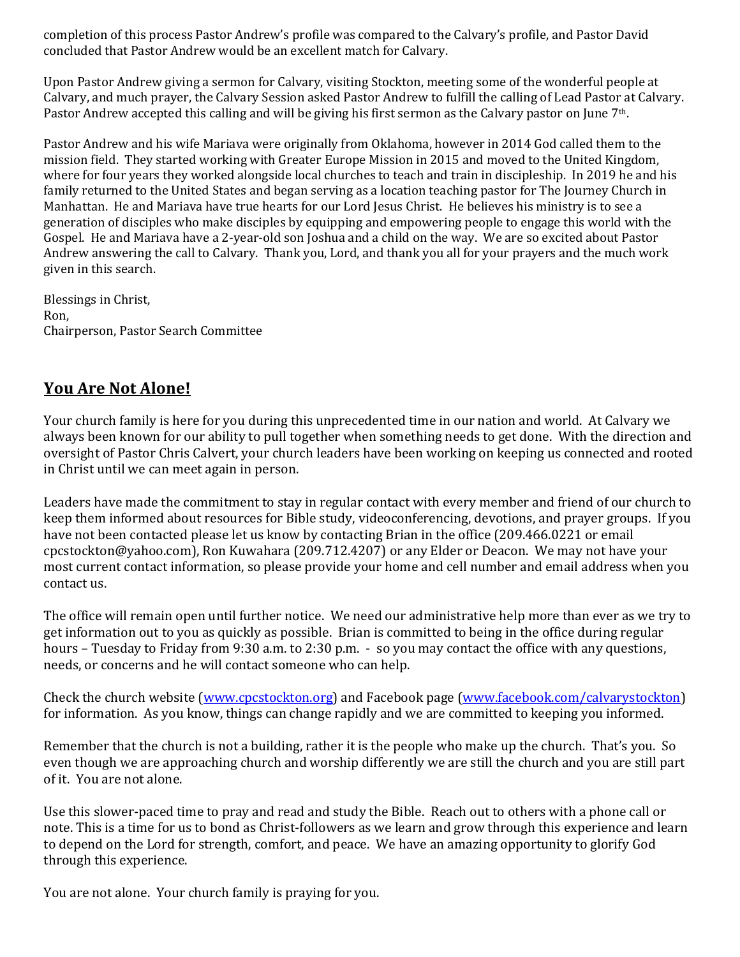completion of this process Pastor Andrew's profile was compared to the Calvary's profile, and Pastor David concluded that Pastor Andrew would be an excellent match for Calvary.

Upon Pastor Andrew giving a sermon for Calvary, visiting Stockton, meeting some of the wonderful people at Calvary, and much prayer, the Calvary Session asked Pastor Andrew to fulfill the calling of Lead Pastor at Calvary. Pastor Andrew accepted this calling and will be giving his first sermon as the Calvary pastor on June 7<sup>th</sup>.

Pastor Andrew and his wife Mariava were originally from Oklahoma, however in 2014 God called them to the mission field. They started working with Greater Europe Mission in 2015 and moved to the United Kingdom, where for four years they worked alongside local churches to teach and train in discipleship. In 2019 he and his family returned to the United States and began serving as a location teaching pastor for The Journey Church in Manhattan. He and Mariava have true hearts for our Lord Jesus Christ. He believes his ministry is to see a generation of disciples who make disciples by equipping and empowering people to engage this world with the Gospel. He and Mariava have a 2-year-old son Joshua and a child on the way. We are so excited about Pastor Andrew answering the call to Calvary. Thank you, Lord, and thank you all for your prayers and the much work given in this search.

Blessings in Christ, Ron, Chairperson, Pastor Search Committee 

# **You Are Not Alone!**

Your church family is here for you during this unprecedented time in our nation and world. At Calvary we always been known for our ability to pull together when something needs to get done. With the direction and oversight of Pastor Chris Calvert, your church leaders have been working on keeping us connected and rooted in Christ until we can meet again in person.

Leaders have made the commitment to stay in regular contact with every member and friend of our church to keep them informed about resources for Bible study, videoconferencing, devotions, and prayer groups. If you have not been contacted please let us know by contacting Brian in the office (209.466.0221 or email cpcstockton@yahoo.com), Ron Kuwahara (209.712.4207) or any Elder or Deacon. We may not have your most current contact information, so please provide your home and cell number and email address when you contact us.

The office will remain open until further notice. We need our administrative help more than ever as we try to get information out to you as quickly as possible. Brian is committed to being in the office during regular hours – Tuesday to Friday from 9:30 a.m. to 2:30 p.m.  $\cdot$  so you may contact the office with any questions, needs, or concerns and he will contact someone who can help.

Check the church website (www.cpcstockton.org) and Facebook page (www.facebook.com/calvarystockton) for information. As you know, things can change rapidly and we are committed to keeping you informed.

Remember that the church is not a building, rather it is the people who make up the church. That's you. So even though we are approaching church and worship differently we are still the church and you are still part of it. You are not alone.

Use this slower-paced time to pray and read and study the Bible. Reach out to others with a phone call or note. This is a time for us to bond as Christ-followers as we learn and grow through this experience and learn to depend on the Lord for strength, comfort, and peace. We have an amazing opportunity to glorify God through this experience.

You are not alone. Your church family is praying for you.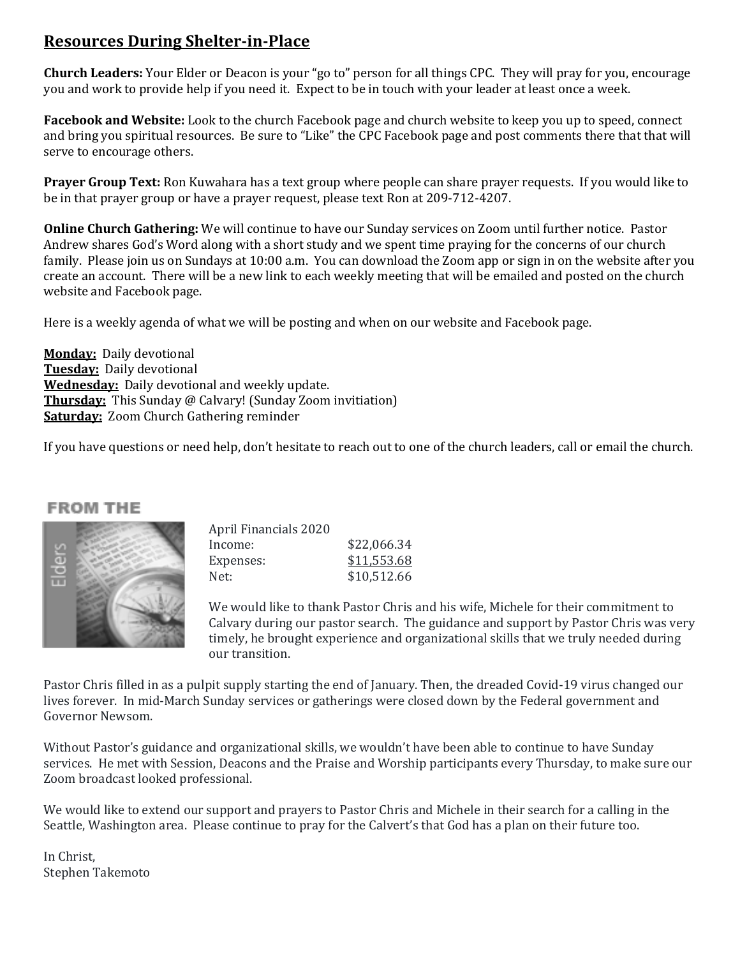# **Resources During Shelter-in-Place**

**Church Leaders:** Your Elder or Deacon is your "go to" person for all things CPC. They will pray for you, encourage you and work to provide help if you need it. Expect to be in touch with your leader at least once a week.

**Facebook and Website:** Look to the church Facebook page and church website to keep you up to speed, connect and bring you spiritual resources. Be sure to "Like" the CPC Facebook page and post comments there that that will serve to encourage others.

**Prayer Group Text:** Ron Kuwahara has a text group where people can share prayer requests. If you would like to be in that prayer group or have a prayer request, please text Ron at 209-712-4207.

**Online Church Gathering:** We will continue to have our Sunday services on Zoom until further notice. Pastor Andrew shares God's Word along with a short study and we spent time praying for the concerns of our church family. Please join us on Sundays at 10:00 a.m. You can download the Zoom app or sign in on the website after you create an account. There will be a new link to each weekly meeting that will be emailed and posted on the church website and Facebook page.

Here is a weekly agenda of what we will be posting and when on our website and Facebook page.

**Monday:** Daily devotional **Tuesday:** Daily devotional **Wednesday:** Daily devotional and weekly update. **Thursday:** This Sunday @ Calvary! (Sunday Zoom invitiation) **Saturday:** Zoom Church Gathering reminder

If you have questions or need help, don't hesitate to reach out to one of the church leaders, call or email the church.

#### **FROM THE**



| April Financials 2020 |             |
|-----------------------|-------------|
| Income:               | \$22,066.34 |
| Expenses:             | \$11,553.68 |
| Net:                  | \$10,512.66 |
|                       |             |

We would like to thank Pastor Chris and his wife, Michele for their commitment to Calvary during our pastor search. The guidance and support by Pastor Chris was very timely, he brought experience and organizational skills that we truly needed during our transition.

Pastor Chris filled in as a pulpit supply starting the end of January. Then, the dreaded Covid-19 virus changed our lives forever. In mid-March Sunday services or gatherings were closed down by the Federal government and Governor Newsom.

Without Pastor's guidance and organizational skills, we wouldn't have been able to continue to have Sunday services. He met with Session, Deacons and the Praise and Worship participants every Thursday, to make sure our Zoom broadcast looked professional.

We would like to extend our support and prayers to Pastor Chris and Michele in their search for a calling in the Seattle, Washington area. Please continue to pray for the Calvert's that God has a plan on their future too.

In Christ, Stephen Takemoto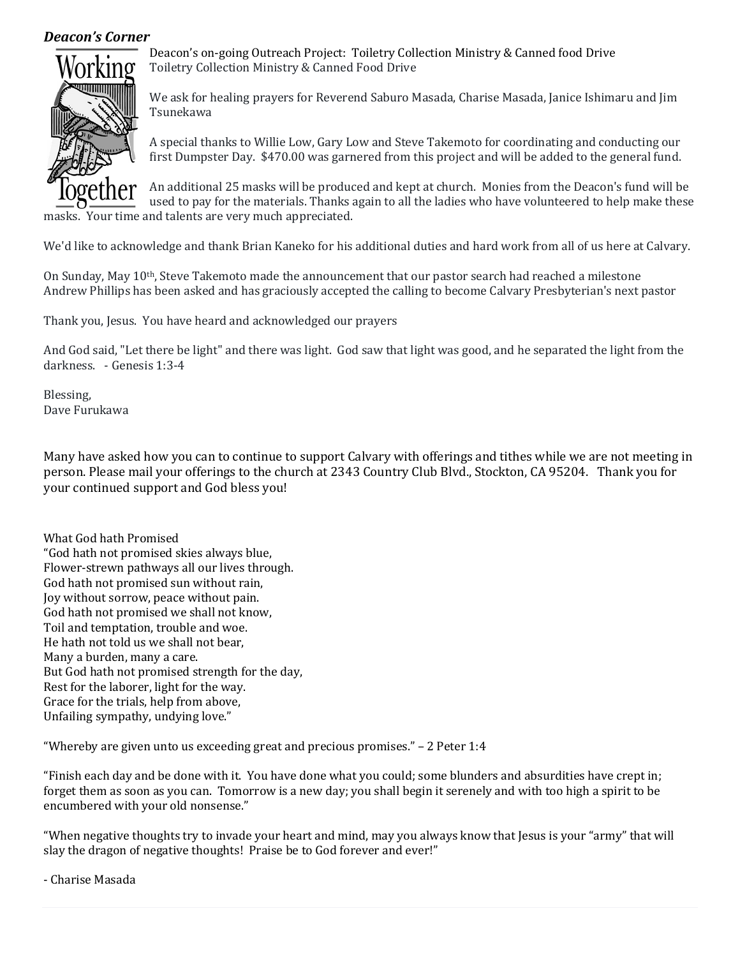#### *Deacon's Corner*



Deacon's on-going Outreach Project: Toiletry Collection Ministry & Canned food Drive Toiletry Collection Ministry & Canned Food Drive

We ask for healing prayers for Reverend Saburo Masada, Charise Masada, Janice Ishimaru and Jim Tsunekawa

A special thanks to Willie Low, Gary Low and Steve Takemoto for coordinating and conducting our first Dumpster Day. \$470.00 was garnered from this project and will be added to the general fund.

An additional 25 masks will be produced and kept at church. Monies from the Deacon's fund will be used to pay for the materials. Thanks again to all the ladies who have volunteered to help make these masks. Your time and talents are very much appreciated.

We'd like to acknowledge and thank Brian Kaneko for his additional duties and hard work from all of us here at Calvary.

On Sunday, May  $10<sup>th</sup>$ , Steve Takemoto made the announcement that our pastor search had reached a milestone Andrew Phillips has been asked and has graciously accepted the calling to become Calvary Presbyterian's next pastor

Thank you, Jesus. You have heard and acknowledged our prayers

And God said, "Let there be light" and there was light. God saw that light was good, and he separated the light from the darkness. - Genesis 1:3-4

Blessing, Dave Furukawa

Many have asked how you can to continue to support Calvary with offerings and tithes while we are not meeting in person. Please mail your offerings to the church at 2343 Country Club Blvd., Stockton, CA 95204. Thank you for your continued support and God bless you!

What God hath Promised "God hath not promised skies always blue, Flower-strewn pathways all our lives through. God hath not promised sun without rain, Joy without sorrow, peace without pain. God hath not promised we shall not know, Toil and temptation, trouble and woe. He hath not told us we shall not bear. Many a burden, many a care. But God hath not promised strength for the day, Rest for the laborer, light for the way. Grace for the trials, help from above, Unfailing sympathy, undying love."

"Whereby are given unto us exceeding great and precious promises."  $-$  2 Peter 1:4

"Finish each day and be done with it. You have done what you could; some blunders and absurdities have crept in; forget them as soon as you can. Tomorrow is a new day; you shall begin it serenely and with too high a spirit to be encumbered with your old nonsense."

"When negative thoughts try to invade your heart and mind, may you always know that Jesus is your "army" that will slay the dragon of negative thoughts! Praise be to God forever and ever!"

- Charise Masada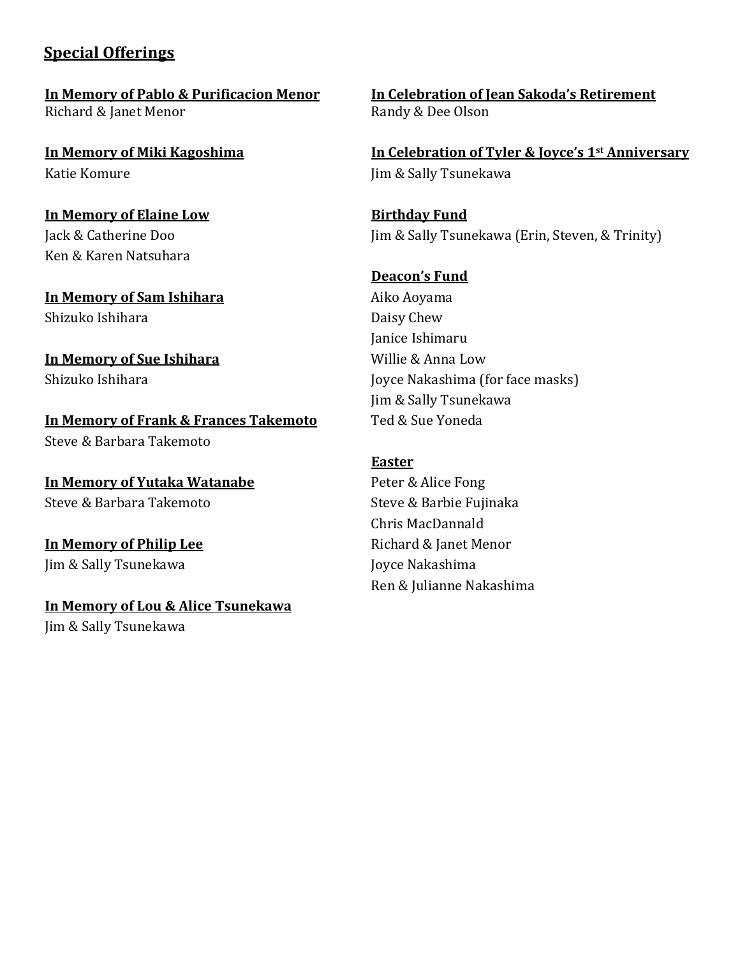# **Special Offerings**

Richard & Janet Menor **Richard & Dee Olson** 

Katie Komure **In the Sally Tsunekawa** Jim & Sally Tsunekawa

**In Memory of Elaine Low Birthday Fund** Ken & Karen Natsuhara

**In Memory of Sam Ishihara** Aiko Aoyama Shizuko Ishihara **Daisy** Chew

# **In Memory of Sue Ishihara** Willie & Anna Low

**In Memory of Frank & Frances Takemoto** Ted & Sue Yoneda Steve & Barbara Takemoto

**In Memory of Yutaka Watanabe** Peter & Alice Fong Steve & Barbara Takemoto Steve & Barbie Fujinaka

**In Memory of Philip Lee** Richard & Janet Menor Jim & Sally Tsunekawa Joyce Nakashima

**In Memory of Lou & Alice Tsunekawa**

Jim & Sally Tsunekawa

**In Memory of Pablo & Purificacion Menor In Celebration of Jean Sakoda's Retirement** 

**In Memory of Miki Kagoshima In Celebration of Tyler & Joyce's 1st Anniversary** 

Jack & Catherine Doo Jim & Sally Tsunekawa (Erin, Steven, & Trinity)

### **Deacon's Fund**

Janice Ishimaru Shizuko Ishihara Joyce Nakashima (for face masks) Jim & Sally Tsunekawa

### **Easter**

Chris MacDannald Ren & Julianne Nakashima